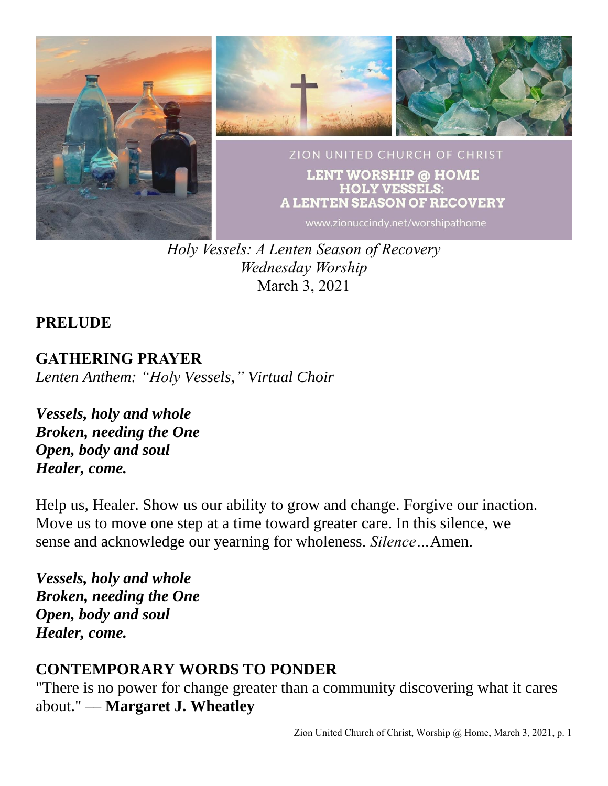

*Holy Vessels: A Lenten Season of Recovery Wednesday Worship* March 3, 2021

#### **PRELUDE**

**GATHERING PRAYER** *Lenten Anthem: "Holy Vessels," Virtual Choir*

*Vessels, holy and whole Broken, needing the One Open, body and soul Healer, come.*

Help us, Healer. Show us our ability to grow and change. Forgive our inaction. Move us to move one step at a time toward greater care. In this silence, we sense and acknowledge our yearning for wholeness. *Silence…*Amen.

*Vessels, holy and whole Broken, needing the One Open, body and soul Healer, come.*

# **CONTEMPORARY WORDS TO PONDER**

"There is no power for change greater than a community discovering what it cares about." –– **Margaret J. Wheatley**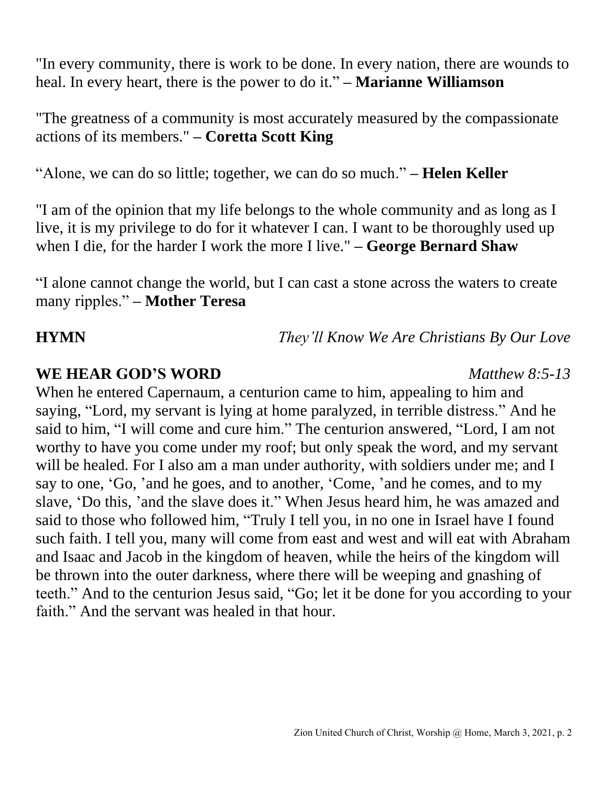"In every community, there is work to be done. In every nation, there are wounds to heal. In every heart, there is the power to do it." **– Marianne Williamson**

"The greatness of a community is most accurately measured by the compassionate actions of its members." **– Coretta Scott King**

"Alone, we can do so little; together, we can do so much." **– Helen Keller**

"I am of the opinion that my life belongs to the whole community and as long as I live, it is my privilege to do for it whatever I can. I want to be thoroughly used up when I die, for the harder I work the more I live." **– George Bernard Shaw**

"I alone cannot change the world, but I can cast a stone across the waters to create many ripples." **– Mother Teresa**

**HYMN** *They'll Know We Are Christians By Our Love*

#### **WE HEAR GOD'S WORD** *Matthew 8:5-13*

When he entered Capernaum, a centurion came to him, appealing to him and saying, "Lord, my servant is lying at home paralyzed, in terrible distress." And he said to him, "I will come and cure him." The centurion answered, "Lord, I am not worthy to have you come under my roof; but only speak the word, and my servant will be healed. For I also am a man under authority, with soldiers under me; and I say to one, 'Go, 'and he goes, and to another, 'Come, 'and he comes, and to my slave, 'Do this, 'and the slave does it." When Jesus heard him, he was amazed and said to those who followed him, "Truly I tell you, in no one in Israel have I found such faith. I tell you, many will come from east and west and will eat with Abraham and Isaac and Jacob in the kingdom of heaven, while the heirs of the kingdom will be thrown into the outer darkness, where there will be weeping and gnashing of teeth." And to the centurion Jesus said, "Go; let it be done for you according to your faith." And the servant was healed in that hour.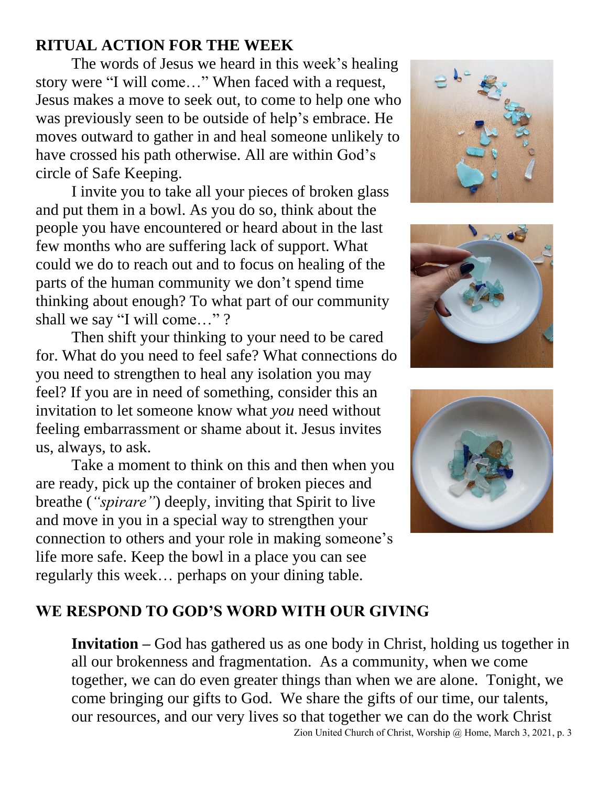# **RITUAL ACTION FOR THE WEEK**

The words of Jesus we heard in this week's healing story were "I will come…" When faced with a request, Jesus makes a move to seek out, to come to help one who was previously seen to be outside of help's embrace. He moves outward to gather in and heal someone unlikely to have crossed his path otherwise. All are within God's circle of Safe Keeping.

I invite you to take all your pieces of broken glass and put them in a bowl. As you do so, think about the people you have encountered or heard about in the last few months who are suffering lack of support. What could we do to reach out and to focus on healing of the parts of the human community we don't spend time thinking about enough? To what part of our community shall we say "I will come…" ?

Then shift your thinking to your need to be cared for. What do you need to feel safe? What connections do you need to strengthen to heal any isolation you may feel? If you are in need of something, consider this an invitation to let someone know what *you* need without feeling embarrassment or shame about it. Jesus invites us, always, to ask.

Take a moment to think on this and then when you are ready, pick up the container of broken pieces and breathe (*"spirare"*) deeply, inviting that Spirit to live and move in you in a special way to strengthen your connection to others and your role in making someone's life more safe. Keep the bowl in a place you can see regularly this week… perhaps on your dining table.







## **WE RESPOND TO GOD'S WORD WITH OUR GIVING**

Zion United Church of Christ, Worship @ Home, March 3, 2021, p. 3 **Invitation –** God has gathered us as one body in Christ, holding us together in all our brokenness and fragmentation. As a community, when we come together, we can do even greater things than when we are alone. Tonight, we come bringing our gifts to God. We share the gifts of our time, our talents, our resources, and our very lives so that together we can do the work Christ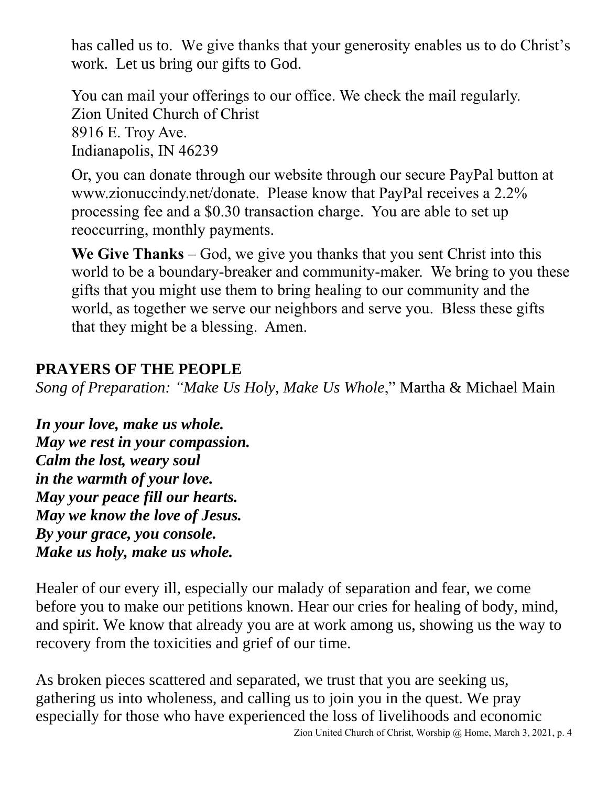has called us to. We give thanks that your generosity enables us to do Christ's work. Let us bring our gifts to God.

You can mail your offerings to our office. We check the mail regularly. Zion United Church of Christ 8916 E. Troy Ave. Indianapolis, IN 46239

Or, you can donate through our website through our secure PayPal button at www.zionuccindy.net/donate. Please know that PayPal receives a 2.2% processing fee and a \$0.30 transaction charge. You are able to set up reoccurring, monthly payments.

**We Give Thanks** – God, we give you thanks that you sent Christ into this world to be a boundary-breaker and community-maker. We bring to you these gifts that you might use them to bring healing to our community and the world, as together we serve our neighbors and serve you. Bless these gifts that they might be a blessing. Amen.

## **PRAYERS OF THE PEOPLE**

*Song of Preparation: "Make Us Holy, Make Us Whole*," Martha & Michael Main

*In your love, make us whole. May we rest in your compassion. Calm the lost, weary soul in the warmth of your love. May your peace fill our hearts. May we know the love of Jesus. By your grace, you console. Make us holy, make us whole.*

Healer of our every ill, especially our malady of separation and fear, we come before you to make our petitions known. Hear our cries for healing of body, mind, and spirit. We know that already you are at work among us, showing us the way to recovery from the toxicities and grief of our time.

As broken pieces scattered and separated, we trust that you are seeking us, gathering us into wholeness, and calling us to join you in the quest. We pray especially for those who have experienced the loss of livelihoods and economic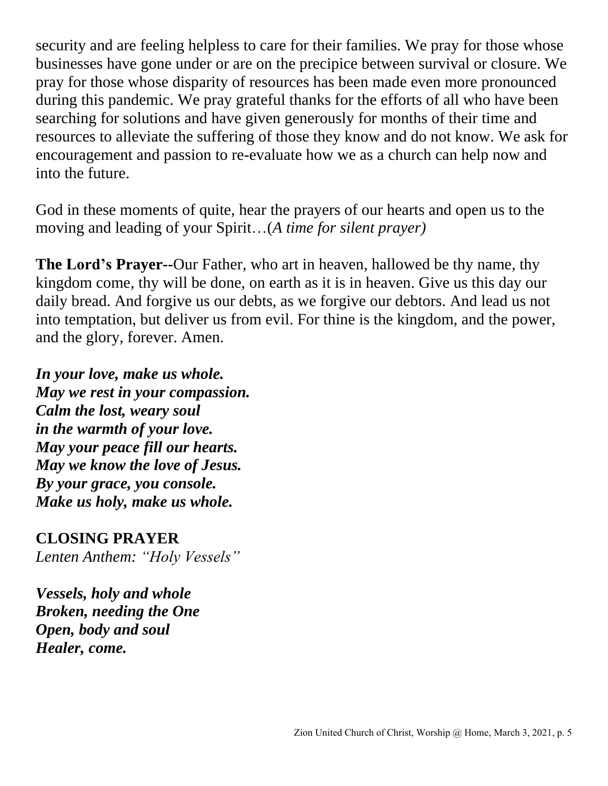security and are feeling helpless to care for their families. We pray for those whose businesses have gone under or are on the precipice between survival or closure. We pray for those whose disparity of resources has been made even more pronounced during this pandemic. We pray grateful thanks for the efforts of all who have been searching for solutions and have given generously for months of their time and resources to alleviate the suffering of those they know and do not know. We ask for encouragement and passion to re-evaluate how we as a church can help now and into the future.

God in these moments of quite, hear the prayers of our hearts and open us to the moving and leading of your Spirit…(*A time for silent prayer)*

**The Lord's Prayer--**Our Father, who art in heaven, hallowed be thy name, thy kingdom come, thy will be done, on earth as it is in heaven. Give us this day our daily bread. And forgive us our debts, as we forgive our debtors. And lead us not into temptation, but deliver us from evil. For thine is the kingdom, and the power, and the glory, forever. Amen.

*In your love, make us whole. May we rest in your compassion. Calm the lost, weary soul in the warmth of your love. May your peace fill our hearts. May we know the love of Jesus. By your grace, you console. Make us holy, make us whole.*

#### **CLOSING PRAYER**

*Lenten Anthem: "Holy Vessels"*

*Vessels, holy and whole Broken, needing the One Open, body and soul Healer, come.*